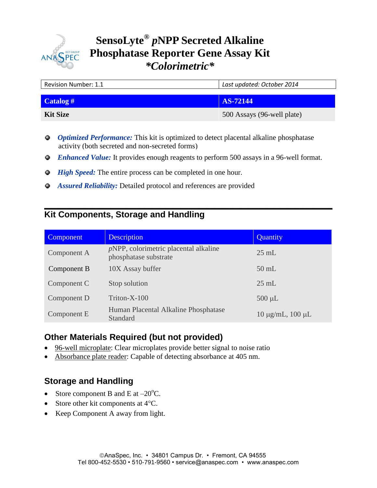

# **Phosphatase Reporter Gene Assay Kit SensoLyte®** *p***NPP Secreted Alkaline**  *\*Colorimetric\**

| <b>Revision Number: 1.1</b> | Last updated: October 2014 |  |
|-----------------------------|----------------------------|--|
|                             |                            |  |
| Catalog $#$                 | AS-72144                   |  |
| <b>Kit Size</b>             | 500 Assays (96-well plate) |  |

- *Optimized Performance:* This kit is optimized to detect placental alkaline phosphatase activity (both secreted and non-secreted forms)
- *Enhanced Value:* It provides enough reagents to perform 500 assays in a 96-well format.

**\_\_\_\_\_\_\_\_\_\_\_\_\_\_\_\_\_\_\_\_\_\_\_\_\_\_\_\_\_\_\_\_\_\_\_\_\_\_\_\_\_\_\_\_\_\_\_\_\_\_\_\_\_\_\_\_\_\_\_\_\_\_\_\_\_\_\_\_\_\_\_\_\_\_\_\_\_\_**

- *High Speed:* The entire process can be completed in one hour.
- *Assured Reliability:* Detailed protocol and references are provided

## **Kit Components, Storage and Handling**

| Component   | <b>Description</b>                                                | Quantity                    |
|-------------|-------------------------------------------------------------------|-----------------------------|
| Component A | $pNPP$ , colorimetric placental alkaline<br>phosphatase substrate | $25 \text{ mL}$             |
| Component B | 10X Assay buffer                                                  | $50$ mL                     |
| Component C | Stop solution                                                     | $25 \text{ mL}$             |
| Component D | Triton-X-100                                                      | $500 \mu L$                 |
| Component E | Human Placental Alkaline Phosphatase<br>Standard                  | $10 \mu g/mL$ , $100 \mu L$ |

## **Other Materials Required (but not provided)**

- 96-well microplate: Clear microplates provide better signal to noise ratio
- Absorbance plate reader: Capable of detecting absorbance at 405 nm.

## **Storage and Handling**

- Store component B and E at  $-20^{\circ}$ C.
- Store other kit components at  $4^{\circ}$ C.
- Keep Component A away from light.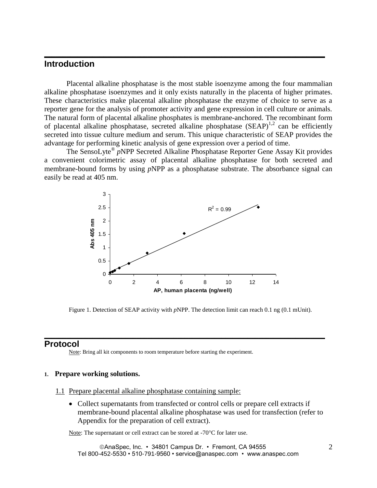### **Introduction**

Placental alkaline phosphatase is the most stable isoenzyme among the four mammalian alkaline phosphatase isoenzymes and it only exists naturally in the placenta of higher primates. These characteristics make placental alkaline phosphatase the enzyme of choice to serve as a reporter gene for the analysis of promoter activity and gene expression in cell culture or animals. The natural form of placental alkaline phosphates is membrane-anchored. The recombinant form of placental alkaline phosphatase, secreted alkaline phosphatase  $(SEAP)^{1,2}$  can be efficiently secreted into tissue culture medium and serum. This unique characteristic of SEAP provides the advantage for performing kinetic analysis of gene expression over a period of time.

**\_\_\_\_\_\_\_\_\_\_\_\_\_\_\_\_\_\_\_\_\_\_\_\_\_\_\_\_\_\_\_\_\_\_\_\_\_\_\_\_\_\_\_\_\_\_\_\_\_\_\_\_\_\_\_\_\_\_\_\_\_\_\_\_\_\_\_\_\_\_\_\_\_\_\_\_**

The SensoLyte® *p*NPP Secreted Alkaline Phosphatase Reporter Gene Assay Kit provides a convenient colorimetric assay of placental alkaline phosphatase for both secreted and membrane-bound forms by using *p*NPP as a phosphatase substrate. The absorbance signal can easily be read at 405 nm.



Figure 1. Detection of SEAP activity with *p*NPP. The detection limit can reach 0.1 ng (0.1 mUnit).

**\_\_\_\_\_\_\_\_\_\_\_\_\_\_\_\_\_\_\_\_\_\_\_\_\_\_\_\_\_\_\_\_\_\_\_\_\_\_\_\_\_\_\_\_\_\_\_\_\_\_\_\_\_\_\_\_\_\_\_\_\_\_\_\_\_\_\_\_\_\_\_\_\_\_\_\_**

### **Protocol**

Note: Bring all kit components to room temperature before starting the experiment.

#### **1. Prepare working solutions.**

#### 1.1 Prepare placental alkaline phosphatase containing sample:

• Collect supernatants from transfected or control cells or prepare cell extracts if membrane-bound placental alkaline phosphatase was used for transfection (refer to Appendix for the preparation of cell extract).

Note: The supernatant or cell extract can be stored at  $-70^{\circ}$ C for later use.

AnaSpec, Inc. • 34801 Campus Dr. • Fremont, CA 94555 Tel 800-452-5530 • 510-791-9560 • service@anaspec.com • www.anaspec.com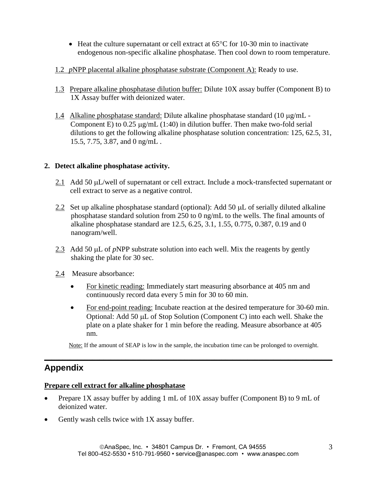- $\bullet$  Heat the culture supernatant or cell extract at 65 $\degree$ C for 10-30 min to inactivate endogenous non-specific alkaline phosphatase. Then cool down to room temperature.
- 1.2 *p*NPP placental alkaline phosphatase substrate (Component A): Ready to use.
- 1.3 Prepare alkaline phosphatase dilution buffer: Dilute 10X assay buffer (Component B) to 1X Assay buffer with deionized water.
- 1.4 Alkaline phosphatase standard: Dilute alkaline phosphatase standard  $(10 \mu g/mL -$ Component E) to  $0.25 \mu g/mL$  (1:40) in dilution buffer. Then make two-fold serial dilutions to get the following alkaline phosphatase solution concentration: 125, 62.5, 31, 15.5, 7.75, 3.87, and 0 ng/mL .

### **2. Detect alkaline phosphatase activity.**

- $2.1$  Add 50  $\mu$ L/well of supernatant or cell extract. Include a mock-transfected supernatant or cell extract to serve as a negative control.
- 2.2 Set up alkaline phosphatase standard (optional): Add 50  $\mu$ L of serially diluted alkaline phosphatase standard solution from 250 to 0 ng/mL to the wells. The final amounts of alkaline phosphatase standard are 12.5, 6.25, 3.1, 1.55, 0.775, 0.387, 0.19 and 0 nanogram/well.
- 2.3 Add 50  $\mu$ L of *p*NPP substrate solution into each well. Mix the reagents by gently shaking the plate for 30 sec.
- 2.4 Measure absorbance:
	- For kinetic reading: Immediately start measuring absorbance at 405 nm and continuously record data every 5 min for 30 to 60 min.
	- For end-point reading: Incubate reaction at the desired temperature for 30-60 min. Optional: Add 50 µL of Stop Solution (Component C) into each well. Shake the plate on a plate shaker for 1 min before the reading. Measure absorbance at 405 nm.

Note: If the amount of SEAP is low in the sample, the incubation time can be prolonged to overnight.

**\_\_\_\_\_\_\_\_\_\_\_\_\_\_\_\_\_\_\_\_\_\_\_\_\_\_\_\_\_\_\_\_\_\_\_\_\_\_\_\_\_\_\_\_\_\_\_\_\_\_\_\_\_\_\_\_\_\_\_\_\_\_\_\_\_\_\_\_\_\_\_\_\_\_\_\_\_\_**

## **Appendix**

### **Prepare cell extract for alkaline phosphatase**

- Prepare 1X assay buffer by adding 1 mL of  $10X$  assay buffer (Component B) to 9 mL of deionized water.
- Gently wash cells twice with  $1X$  assay buffer.